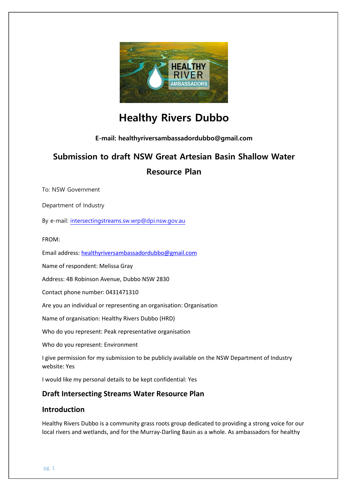

# **Healthy Rivers Dubbo**

**E-mail: healthyriversambassadordubbo@gmail.com**

# **Submission to draft NSW Great Artesian Basin Shallow Water Resource Plan**

To: NSW Government

Department of Industry

By e-mail: [intersectingstreams.sw.wrp@dpi.nsw.gov.au](mailto:intersectingstreams.sw.wrp@dpi.nsw.gov.au)

FROM:

Email address: [healthyriversambassadordubbo@gmail.com](mailto:healthyriversambassadordubbo@gmail.com)

Name of respondent: Melissa Gray

Address: 4B Robinson Avenue, Dubbo NSW 2830

Contact phone number: 0431471310

Are you an individual or representing an organisation: Organisation

Name of organisation: Healthy Rivers Dubbo (HRD)

Who do you represent: Peak representative organisation

Who do you represent: Environment

I give permission for my submission to be publicly available on the NSW Department of Industry website: Yes

I would like my personal details to be kept confidential: Yes

# **Draft Intersecting Streams Water Resource Plan**

## **Introduction**

Healthy Rivers Dubbo is a community grass roots group dedicated to providing a strong voice for our local rivers and wetlands, and for the Murray-Darling Basin as a whole. As ambassadors for healthy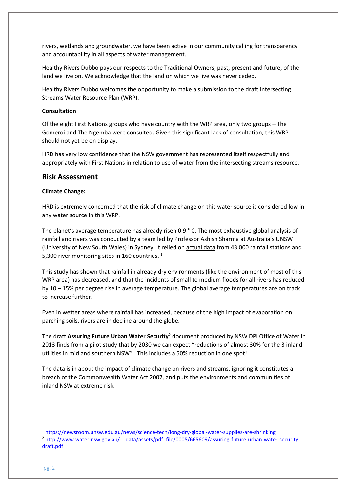rivers, wetlands and groundwater, we have been active in our community calling for transparency and accountability in all aspects of water management.

Healthy Rivers Dubbo pays our respects to the Traditional Owners, past, present and future, of the land we live on. We acknowledge that the land on which we live was never ceded.

Healthy Rivers Dubbo welcomes the opportunity to make a submission to the draft Intersecting Streams Water Resource Plan (WRP).

#### **Consultation**

Of the eight First Nations groups who have country with the WRP area, only two groups – The Gomeroi and The Ngemba were consulted. Given this significant lack of consultation, this WRP should not yet be on display.

HRD has very low confidence that the NSW government has represented itself respectfully and appropriately with First Nations in relation to use of water from the intersecting streams resource.

### **Risk Assessment**

#### **Climate Change:**

HRD is extremely concerned that the risk of climate change on this water source is considered low in any water source in this WRP.

The planet's average temperature has already risen 0.9 ° C. The most exhaustive global analysis of rainfall and rivers was conducted by a team led by Professor Ashish Sharma at Australia's UNSW (University of New South Wales) in Sydney. It relied on actual data from 43,000 rainfall stations and 5,300 river monitoring sites in 160 countries. 1

This study has shown that rainfall in already dry environments (like the environment of most of this WRP area) has decreased, and that the incidents of small to medium floods for all rivers has reduced by 10 – 15% per degree rise in average temperature. The global average temperatures are on track to increase further.

Even in wetter areas where rainfall has increased, because of the high impact of evaporation on parching soils, rivers are in decline around the globe.

The draft **Assuring Future Urban Water Security**<sup>2</sup> document produced by NSW DPI Office of Water in 2013 finds from a pilot study that by 2030 we can expect "reductions of almost 30% for the 3 inland utilities in mid and southern NSW". This includes a 50% reduction in one spot!

The data is in about the impact of climate change on rivers and streams, ignoring it constitutes a breach of the Commonwealth Water Act 2007, and puts the environments and communities of inland NSW at extreme risk.

**.** 

<sup>1</sup> <https://newsroom.unsw.edu.au/news/science-tech/long-dry-global-water-supplies-are-shrinking> <sup>2</sup> http://www.water.nsw.gov.au/ data/assets/pdf file/0005/665609/assuring-future-urban-water-security[draft.pdf](http://www.water.nsw.gov.au/__data/assets/pdf_file/0005/665609/assuring-future-urban-water-security-draft.pdf)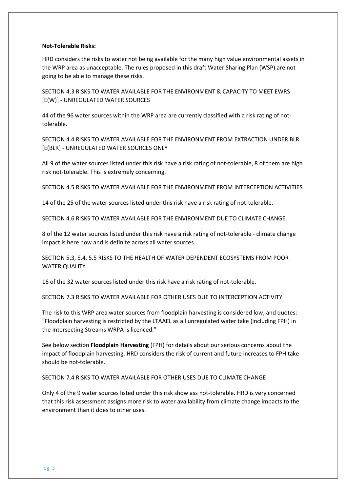#### **Not-Tolerable Risks:**

HRD considers the risks to water not being available for the many high value environmental assets in the WRP area as unacceptable. The rules proposed in this draft Water Sharing Plan (WSP) are not going to be able to manage these risks.

SECTION 4.3 RISKS TO WATER AVAILABLE FOR THE ENVIRONMENT & CAPACITY TO MEET EWRS [E(W)] - UNREGULATED WATER SOURCES

44 of the 96 water sources within the WRP area are currently classified with a risk rating of nottolerable.

SECTION 4.4 RISKS TO WATER AVAILABLE FOR THE ENVIRONMENT FROM EXTRACTION UNDER BLR [E(BLR] - UNREGULATED WATER SOURCES ONLY

All 9 of the water sources listed under this risk have a risk rating of not-tolerable, 8 of them are high risk not-tolerable. This is extremely concerning.

SECTION 4.5 RISKS TO WATER AVAILABLE FOR THE ENVIRONMENT FROM INTERCEPTION ACTIVITIES

14 of the 25 of the water sources listed under this risk have a risk rating of not-tolerable.

SECTION 4.6 RISKS TO WATER AVAILABLE FOR THE ENVIRONMENT DUE TO CLIMATE CHANGE

8 of the 12 water sources listed under this risk have a risk rating of not-tolerable - climate change impact is here now and is definite across all water sources.

SECTION 5.3, 5.4, 5.5 RISKS TO THE HEALTH OF WATER DEPENDENT ECOSYSTEMS FROM POOR WATER OUALITY

16 of the 32 water sources listed under this risk have a risk rating of not-tolerable.

SECTION 7.3 RISKS TO WATER AVAILABLE FOR OTHER USES DUE TO INTERCEPTION ACTIVITY

The risk to this WRP area water sources from floodplain harvesting is considered low, and quotes: "Floodplain harvesting is restricted by the LTAAEL as all unregulated water take (including FPH) in the Intersecting Streams WRPA is licenced."

See below section **Floodplain Harvesting** (FPH) for details about our serious concerns about the impact of floodplain harvesting. HRD considers the risk of current and future increases to FPH take should be not-tolerable.

#### SECTION 7.4 RISKS TO WATER AVAILABLE FOR OTHER USES DUE TO CLIMATE CHANGE

Only 4 of the 9 water sources listed under this risk show ass not-tolerable. HRD is very concerned that this risk assessment assigns more risk to water availability from climate change impacts to the environment than it does to other uses.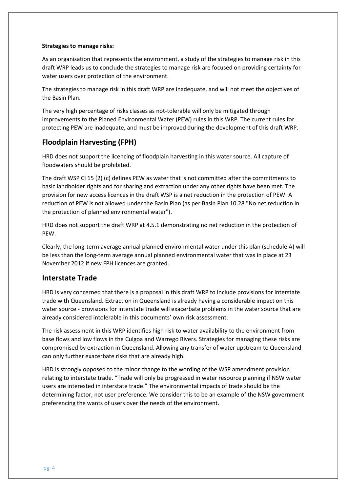#### **Strategies to manage risks:**

As an organisation that represents the environment, a study of the strategies to manage risk in this draft WRP leads us to conclude the strategies to manage risk are focused on providing certainty for water users over protection of the environment.

The strategies to manage risk in this draft WRP are inadequate, and will not meet the objectives of the Basin Plan.

The very high percentage of risks classes as not-tolerable will only be mitigated through improvements to the Planed Environmental Water (PEW) rules in this WRP. The current rules for protecting PEW are inadequate, and must be improved during the development of this draft WRP.

## **Floodplain Harvesting (FPH)**

HRD does not support the licencing of floodplain harvesting in this water source. All capture of floodwaters should be prohibited.

The draft WSP Cl 15 (2) (c) defines PEW as water that is not committed after the commitments to basic landholder rights and for sharing and extraction under any other rights have been met. The provision for new access licences in the draft WSP is a net reduction in the protection of PEW. A reduction of PEW is not allowed under the Basin Plan (as per Basin Plan 10.28 "No net reduction in the protection of planned environmental water").

HRD does not support the draft WRP at 4.5.1 demonstrating no net reduction in the protection of PEW.

Clearly, the long-term average annual planned environmental water under this plan (schedule A) will be less than the long-term average annual planned environmental water that was in place at 23 November 2012 if new FPH licences are granted.

## **Interstate Trade**

HRD is very concerned that there is a proposal in this draft WRP to include provisions for interstate trade with Queensland. Extraction in Queensland is already having a considerable impact on this water source - provisions for interstate trade will exacerbate problems in the water source that are already considered intolerable in this documents' own risk assessment.

The risk assessment in this WRP identifies high risk to water availability to the environment from base flows and low flows in the Culgoa and Warrego Rivers. Strategies for managing these risks are compromised by extraction in Queensland. Allowing any transfer of water upstream to Queensland can only further exacerbate risks that are already high.

HRD is strongly opposed to the minor change to the wording of the WSP amendment provision relating to interstate trade. "Trade will only be progressed in water resource planning if NSW water users are interested in interstate trade." The environmental impacts of trade should be the determining factor, not user preference. We consider this to be an example of the NSW government preferencing the wants of users over the needs of the environment.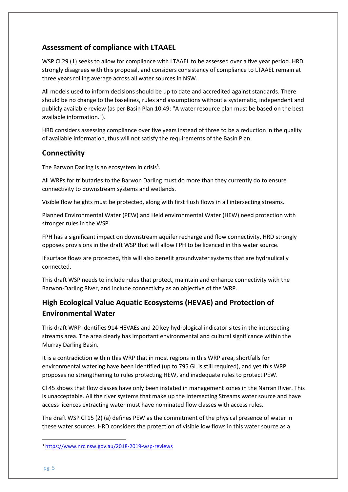# **Assessment of compliance with LTAAEL**

WSP Cl 29 (1) seeks to allow for compliance with LTAAEL to be assessed over a five year period. HRD strongly disagrees with this proposal, and considers consistency of compliance to LTAAEL remain at three years rolling average across all water sources in NSW.

All models used to inform decisions should be up to date and accredited against standards. There should be no change to the baselines, rules and assumptions without a systematic, independent and publicly available review (as per Basin Plan 10.49: "A water resource plan must be based on the best available information.").

HRD considers assessing compliance over five years instead of three to be a reduction in the quality of available information, thus will not satisfy the requirements of the Basin Plan.

# **Connectivity**

The Barwon Darling is an ecosystem in crisis<sup>3</sup>.

All WRPs for tributaries to the Barwon Darling must do more than they currently do to ensure connectivity to downstream systems and wetlands.

Visible flow heights must be protected, along with first flush flows in all intersecting streams.

Planned Environmental Water (PEW) and Held environmental Water (HEW) need protection with stronger rules in the WSP.

FPH has a significant impact on downstream aquifer recharge and flow connectivity, HRD strongly opposes provisions in the draft WSP that will allow FPH to be licenced in this water source.

If surface flows are protected, this will also benefit groundwater systems that are hydraulically connected.

This draft WSP needs to include rules that protect, maintain and enhance connectivity with the Barwon-Darling River, and include connectivity as an objective of the WRP.

# **High Ecological Value Aquatic Ecosystems (HEVAE) and Protection of Environmental Water**

This draft WRP identifies 914 HEVAEs and 20 key hydrological indicator sites in the intersecting streams area. The area clearly has important environmental and cultural significance within the Murray Darling Basin.

It is a contradiction within this WRP that in most regions in this WRP area, shortfalls for environmental watering have been identified (up to 795 GL is still required), and yet this WRP proposes no strengthening to rules protecting HEW, and inadequate rules to protect PEW.

Cl 45 shows that flow classes have only been instated in management zones in the Narran River. This is unacceptable. All the river systems that make up the Intersecting Streams water source and have access licences extracting water must have nominated flow classes with access rules.

The draft WSP Cl 15 (2) (a) defines PEW as the commitment of the physical presence of water in these water sources. HRD considers the protection of visible low flows in this water source as a

**.** 

<sup>3</sup> <https://www.nrc.nsw.gov.au/2018-2019-wsp-reviews>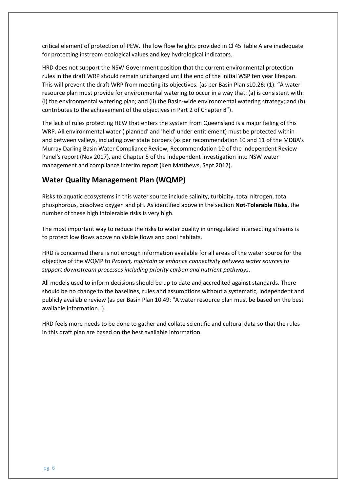critical element of protection of PEW. The low flow heights provided in Cl 45 Table A are inadequate for protecting instream ecological values and key hydrological indicators.

HRD does not support the NSW Government position that the current environmental protection rules in the draft WRP should remain unchanged until the end of the initial WSP ten year lifespan. This will prevent the draft WRP from meeting its objectives. (as per Basin Plan s10.26: (1): "A water resource plan must provide for environmental watering to occur in a way that: (a) is consistent with: (i) the environmental watering plan; and (ii) the Basin-wide environmental watering strategy; and (b) contributes to the achievement of the objectives in Part 2 of Chapter 8").

The lack of rules protecting HEW that enters the system from Queensland is a major failing of this WRP. All environmental water ('planned' and 'held' under entitlement) must be protected within and between valleys, including over state borders (as per recommendation 10 and 11 of the MDBA's Murray Darling Basin Water Compliance Review, Recommendation 10 of the independent Review Panel's report (Nov 2017), and Chapter 5 of the Independent investigation into NSW water management and compliance interim report (Ken Matthews, Sept 2017).

### **Water Quality Management Plan (WQMP)**

Risks to aquatic ecosystems in this water source include salinity, turbidity, total nitrogen, total phosphorous, dissolved oxygen and pH. As identified above in the section **Not-Tolerable Risks**, the number of these high intolerable risks is very high.

The most important way to reduce the risks to water quality in unregulated intersecting streams is to protect low flows above no visible flows and pool habitats.

HRD is concerned there is not enough information available for all areas of the water source for the objective of the WQMP to *Protect, maintain or enhance connectivity between water sources to support downstream processes including priority carbon and nutrient pathways.* 

All models used to inform decisions should be up to date and accredited against standards. There should be no change to the baselines, rules and assumptions without a systematic, independent and publicly available review (as per Basin Plan 10.49: "A water resource plan must be based on the best available information.").

HRD feels more needs to be done to gather and collate scientific and cultural data so that the rules in this draft plan are based on the best available information.